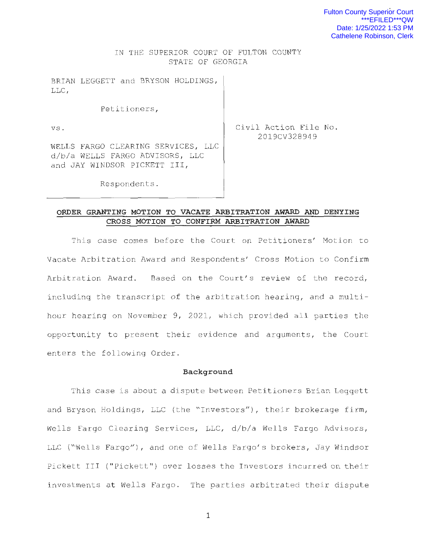### IN THE SUPERIOR COURT OF FULTON COUNTY STATE OF GEORGIA

BRIAN LEGGETT and BRYSON HOLDINGS , LLC ,

Petitioners,

vs .

Civil Action File No. 2019CV328949

WELLS FARGO CLEARING SERVICES, LLC d/b/a WELLS FARGO ADVISORS, LLC and JAY WINDSOR PICKETT III,

Respondents .

### **ORDER GRANTING MOTION TO VACATE ARBITRATION AWARD AND DENYING CROSS MOTION TO CONFIRM ARBITRATION AWARD**

This case comes before the Court on Petitioners' Motion to Vacate Arbitration Award and Respondents' Cross Motion to Confirm Arbitration Award. Based on the Court's review of the record, including the transcript of the arbitration hearing, and a multihour hearing on November 9, 2021, which provided all parties the opportunity to present their evidence and arguments, the Court enters the following Order .

#### **Background**

This case is about a dispute between Petitioners Brian Leggett and Bryson Holdings, LLC (the "Investors"), their brokerage firm, Wells Fargo Clearing Services, LLC, d/b/a Wells Fargo Advisors, LLC ("Wells Fargo"), and one of Wells Fargo's brokers, Jay Windsor Pickett III ("Pickett") over losses the Investors incurred on their investments at Wells Fargo. The parties arbitrated their dispute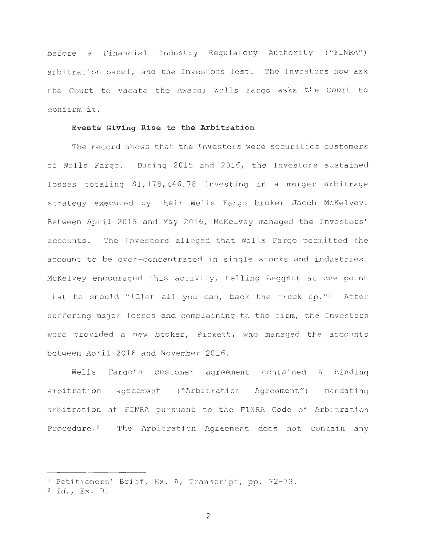before a Financial Industry Regulatory Authority ("FINRA") arbitration panel, and the Investors lost. The Investors now ask the Court to vacate the Award; Wells Fargo asks the Court to confirm it.

### **Events Giving Rise to the Arbitration**

The record shows that the Investors were securities customers of Wells Fargo. During 2015 and 2016, the Investors sustained losses totaling  $$1,178,446.78$  investing in a merger arbitrage strategy executed by their Wells Fargo broker Jacob McKelvey. Between April 2015 and May 2016, McKelvey managed the Investors' accounts. The Investors alleged that Wells Fargo permitted the account to be over- concentrated in single stocks and industries. McKelvey encouraged this activity, telling Leggett at one point that he should "[G]et all you can, back the truck up."<sup>1</sup> After suffering major losses and complaining to the firm, the Investors were provided a new broker, Pickett, who managed the accounts between April 2016 and November 2016 .

Wells Fargo's customer agreement contained a binding arbitration agreement ("Arbitration Agreement") mandating arbitration at FINRA pursuant to the FINRA Code of Arbitration Procedure.<sup>2</sup> The Arbitration Agreement does not contain any

<sup>&</sup>lt;sup>1</sup> Petitioners' Brief, Ex. A, Transcript, pp. 72-73.

<sup>2</sup>*Id .,* Ex. B.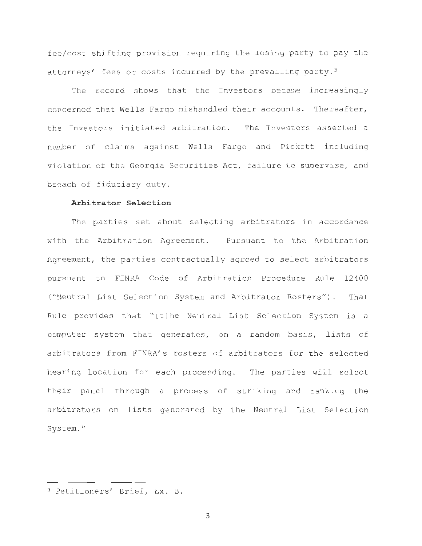fee/cost shifting provision requiring the losing party to pay the attorneys' fees or costs incurred by the prevailing party.<sup>3</sup>

The record shows that the Investors became increasingly concerned that Wells Fargo mishandled their accounts . Thereafter, the Investors initiated arbitration. The Investors asserted a number of claims against Wells Fargo and Pickett including violation of the Georgia Securities Act, failure to supervise, and breach of fiduciary duty.

### **Arbitrator Selection**

The parties set about selecting arbitrators in accordance with the Arbitration Agreement. Pursuant to the Arbitration Agreement, the parties contractually agreed to select arbitrators pursuant to FINRA Code of Arbitration Procedure Rule 12 400 ("Neutral List Selection System and Arbitrator Rosters") . That Rule provides that "[t] he Neutral List Selection System is a computer system that generates, on a random basis, lists of arbitrators from FINRA's rosters of arbitrators for the selected hearing location for each proceeding. The parties will select their panel through a process of striking and ranking the arbitrators on lists generated by the Neutral List Selection System. "

<sup>&</sup>lt;sup>3</sup> Petitioners' Brief, Ex. B.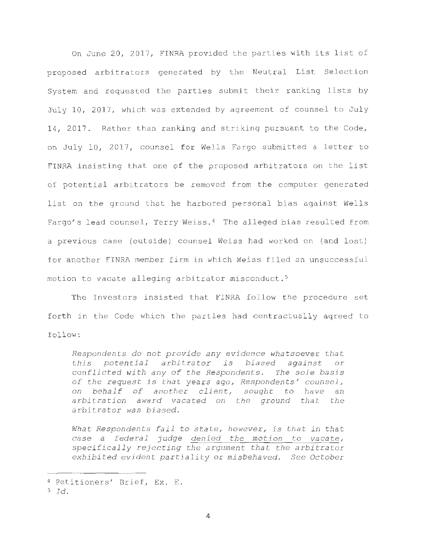On June 20, 2017, FINRA provided the parties with its list of proposed arbitrators generated by the Neutral List Selection System and requested the parties submit their ranking lists by July 10, 2017, which was extended by agreement of counsel to July 14, 2017. Rather than ranking and striking pursuant to the Code, on July 10, 2017, counsel for Wells Fargo submitted a letter to FINRA insisting that one of the proposed arbitrators on the list of potential arbitrators be removed from the computer generated list on the ground that he harbored personal bias against Wells Fargo's lead counsel, Terry Weiss.<sup>4</sup> The alleged bias resulted from a previous case (outside) counsel Weiss had worked on (and lost) for another FINRA member firm in which Weiss filed an unsuccessful motion to vacate alleging arbitrator misconduct . <sup>5</sup>

The Investors insisted that FINRA follow the procedure set forth in the Code which the parties had contractually agreed to follow:

*Respondents do not provide any evidence whatsoever that this potential arbitrator is biased against* or *conflicted with any of the Respondents. The sole basis of the request is that years ago , Respondents' counsel, on behalf of another client, sought to have an arbitration award vacated on the ground that the arbitrator was biased.* 

*What Respondents fail* to state, *however, is that in that case a federal judge denied the motion to vacate, specifically rejecting the argument that the arbitrator exhibited evident partiality* or *misbehaved . See October* 

<sup>4</sup> Petitioners' Brief, Ex. E.

 $5$   $Id.$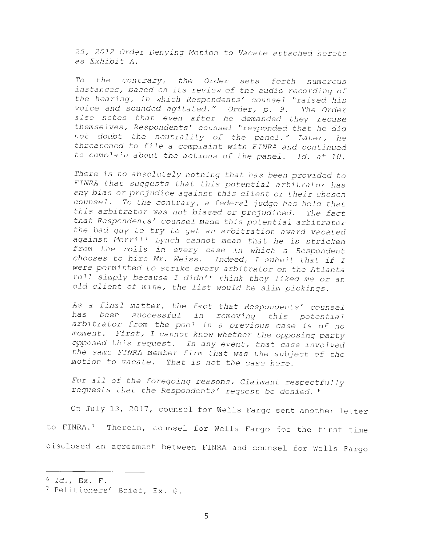*25, 2012 Order Denying Motion* to *Vacate attached hereto as Exhibit A .* 

*To the contrary I the Order sets forth numerous instances, based on its review of the audio recording of the hearing, in which Respondents' counsel "raised his voice and sounded agitated. " Order, p . 9. The Order <sup>a</sup> <sup>l</sup> so notes that even after he demanded they recuse themselves, Respondents' counsel "responded that he did not doubt the neutrality of the panel . " Later, he threatened* to *file a complaint wi th FINRA and continued*  to complain about the actions of the panel. Id. at 10.

*There is no absolutely nothing that has been provided* to *FINRA that suggests that this potential arbitrator has any bias or prejudice against this client or their chosen counsel . To the contrary, a federal judge has held that this arbitrator was not biased or prejudiced. The fact that Respondents' counsel made this potential arbitrator the bad guy* to *try* to *get an arbitration award vacated against Merrill Lynch cannot mean that he is stricken from the rolls in every case in which a Respondent chooses* to *hire Mr . Weiss . Indeed , I submit that if I were permitted* to *strike every arbitrator on the Atlanta roll simply because I didn ' t think they liked me or an old client of mine , the list would be slim pickings.* 

*As a final matter, the fact that Respondents' counsel has been successful in removing this potential arbitrator from the pool in a previous case is of no moment . First, I cannot know whether the opposing party opposed this request . In any event, that case involved the same FINRA member firm that was the subject of the motion* to *vacate . That is not the case here.* 

*For all of the foregoing reasons, Claimant respectfully requests that the Respondents' request be denied .* <sup>6</sup>

On July 13, 2017, counsel for Wells Fargo sent another letter to FINRA.<sup>7</sup> Therein, counsel for Wells Fargo for the first time disclosed an agreement between FINRA and counsel for Wells Fargo

<sup>6</sup>*Id .,* Ex . F.

<sup>&</sup>lt;sup>7</sup> Petitioners' Brief, Ex. G.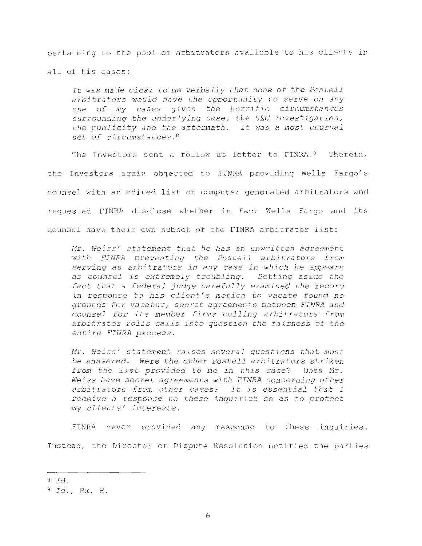pertaining to the pool of arbitrators available to his clients in all of his cases:

*It was made clear* to *me verbally that none of the Postell arbitrators would have the opportunity* to *serve on any one of my cases given the horrific circumstances surrounding the underlying case, the SEC investigation, the publicity and the aftermath. It was a most unusual*  set *of circumstances. <sup>8</sup>*

The Investors sent a follow up letter to FINRA. $9$  Therein, the Investors again objected to FINRA providing Wells Fargo's counsel with an edited list of computer-generated arbitrators and requested FINRA disclose whether in fact Wells Fargo and its counsel have their own subset of the FINRA arbitrator list:

*Mr . Weiss 1 statement that he has an unwritten agreement wi t h FINRA preventing the Postell arbitrators from serving as arbitrators in any case in which he appears as coun sel is extremely troubling . Setting aside the fact that a federal judge carefully examined the record in response* to *his client I s motion* to *vacate found no grounds for vacatur,* secret *agreements between FINRA and counsel for its member firms culling arbitrators from arbitrator rolls calls into question the fairness of the entire FINRA process.* 

*Mr . Weiss 1 statement raises several questions that must be answered. Were the other Postell arbitrators striken from the list provided* to *me in this case? Does Mr . Weiss have* secret *agreements with FINRA concerning other arbitrators from other cases? It is essential that I receive a response* to *these inquiries* so *as* to *protect my clients 1 interests.* 

FINRA never provided any response to these inquiries. Instead, the Director of Dispute Resolution notified the parties

<sup>8</sup>*Id .* 

<sup>&</sup>lt;sup>9</sup> Id., Ex. H.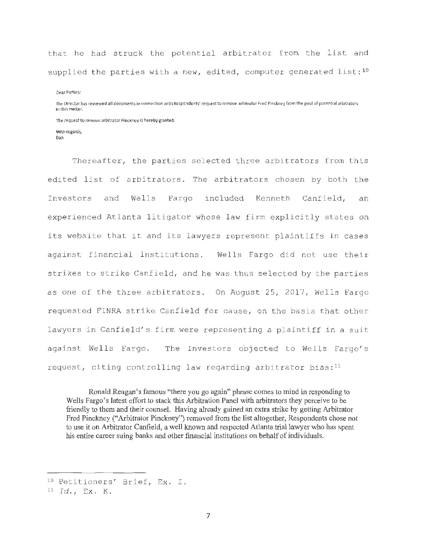that he had struck the potential arbitrator from the list and supplied the parties with a new, edited, computer generated list: $10$ 

Dear Parties:

The Director has reviewed all documents in connection with Respondents' request to remove arbitrator Fred Pinckney from the pool of potential arbitrators in this matter.

**The request to remove arbitrator Pinckney is hereby granted.** 

**With regards, Dan** 

Thereafter, the parties selected three arbitrators from this edited list of arbitrators. The arbitrators chosen by both the Investors and Wells Fargo included Kenneth Canfield, an experienced Atlanta litigator whose law firm explicitly states on its website that it and its lawyers represent plaintiffs in cases against financial institutions. Wells Fargo did not use their strikes to strike Canfield, and he was thus selected by the parties as one of the three arbitrators. On August 25, 2017, Wells Fargo requested FINRA strike Canfield for cause, on the basis that other lawyers in Canfield's firm were representing a plaintiff in a suit against Wells Fargo. The Investors objected to Wells Fargo's request, citing controlling law regarding arbitrator bias: $11$ 

Ronald Reagan's famous "there you go again" phrase comes to mind in responding to Wells Fargo's latest effort to stack this Arbitration Panel with arbitrators they perceive to be friendly to them and their counsel. Having already gained an extra strike by getting Arbitrator Fred Pinckney ("Arbitrator Pinckney") removed from the list altogether, Respondents chose not to use it on Arbitrator Canfield, a well known and respected Atlanta trial lawyer who has spent his entire career suing banks and other financial institutions on behalf of individuals.

<sup>&</sup>lt;sup>10</sup> Petitioners' Brief, Ex. I.

<sup>11</sup>*Id .,* Ex . K.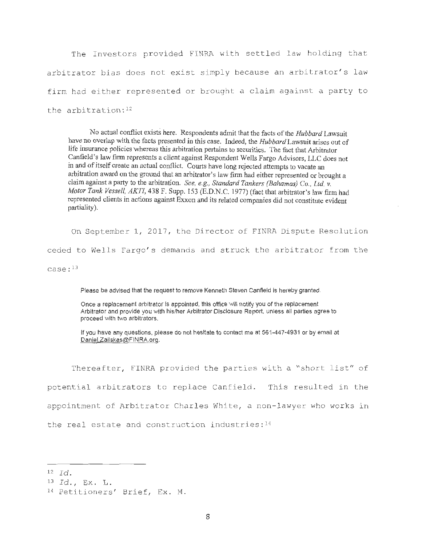The Investors provided FINRA with settled law holding that arbitrator bias does not exist simply because an arbitrator's law firm had either represented or brought a claim against a party to the arbitration: $12$ 

**No actual conflict exists here. Respondents admit that the facts of the** *Hubbard* **Lawsuit have no overlap with the facts presented in this case. Indeed, the** *Hubbard* **Lawsuit arises out of life insurance policies whereas this arbitration pertains to securities. The fact that Arbitrator Canfield's law firm represents a client against Respondent Wells Fargo Advisors, LLC does not in and of itself create an actual conflict. Courts have** long **rejected attempts** to **vacate an arbitration award on the ground that an arbitrator's law firm had either represented or brought a claim against a party to the arbitration.** *See, e.g., Standard Tankers (Bahamas) Co., Ltd v. Motor Tank Vessell, AKTI,* **438** F. **Supp. 153 (E.D.N.C.** 1977) (fact that **arbitrator's law firm had represented clients in actions against Exxon and its related companies did not constitute evident partiality).** 

On September 1, 2017, the Director of FINRA Dispute Resolution

ceded to Wells Fargo's demands and struck the arbitrator from the

 $case: <sup>13</sup>$ 

Please be advised that the request to remove Kenneth Steven Canfield is hereby granted.

Once a replacement arbitrator is appointed, this office will notify you of the replacement Arbitrator and provide you with his/her Arbitrator Disclosure Report, unless all parties agree to proceed with two arbitrators.

If you have any questions, please do not hesitate to contact me at 561-447-4931 or by email at Daniel.Zailskas@FINRA.org.

Thereafter, FINRA provided the parties with a "short list" of potential arbitrators to replace Canfield. This resulted in the appointment of Arbitrator Charles White, a non-lawyer who works in the real estate and construction industries: $14$ 

<sup>13</sup>*Id .,* Ex . L .

 $12 \quad \text{Id.}$ 

<sup>14</sup> Petitioners' Brief, Ex. M.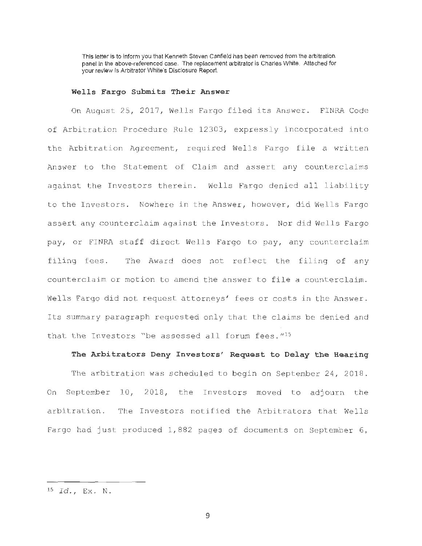This letter is to inform you that Kenneth Steven Canfield has been removed from the arbitration panel in the above-referenced case. The replacement arbitrator is Charles White. Attached for your review is Arbitrator White's Disclosure Report.

#### **Wells Fargo Submits Their Answer**

On August 25, 2017, Wells Fargo filed its Answer. FINRA Code of Arbitration Procedure Rule 12303, expressly incorporated into the Arbitration Agreement, required Wells Fargo file a written Answer to the Statement of Claim and assert any counterclaims against the Investors therein. Wells Fargo denied all liability to the Investors. Nowhere in the Answer, however, did Wells Fargo assert any counterclaim against the Investors. Nor did Wells Fargo pay, or FINRA staff direct Wells Fargo to pay, any counterclaim filing fees. The Award does not reflect the filing of any counterclaim or motion to amend the answer to file a counterclaim. Wells Fargo did not request attorneys' fees or costs in the Answer. Its summary paragraph requested only that the claims be denied and that the Investors "be assessed all forum fees.  $''^{15}$ 

### The Arbitrators Deny Investors' Request to Delay the Hearing

The arbitration was scheduled to begin on September 24, 2018. On September 10, 2018, the Investors moved to adjourn the arbitration. The Investors notified the Arbitrators that Wells Fargo had just produced  $1,882$  pages of documents on September  $6$ ,

<sup>15</sup>*Id .* , **Ex . N .**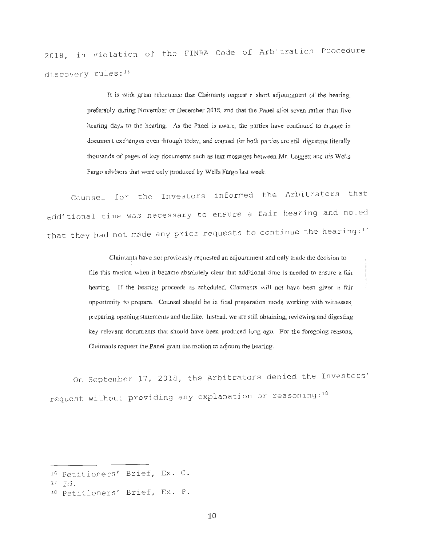2018, in violation of the FINRA Code of Arbitration Procedure discovery rules:  $16$ 

> It **is with great reluctance that Claimants request n short adjournment of the hearing,**  preferably during November or December 2018, and that the Panel allot seven rather than five **hearing days to the hearing. As the Panel is aware, the parries have continued to engage in**  document exchanges even through today, and counsel for both parties are still digesting literally thousands of pages of key documents such as text messages between Mr. Leggett and his Wells **Fargo advisors that were only produced by Wells Fargo last week.**

Counsel for the Investors informed the Arbitrators that additional time was necessary to ensure a fair hearing and noted that they had not made any prior requests to continue the hearing: $^{17}$ 

> **Claimants have not previously requested an adjournment and only made the decision to file this motion** when it became absolutely clear that additional time is needed to ensure a fair **hearing.** If **the hearing proceeds as scheduled, Claimants will not have been given a fair**  opportunity to prepare. Counsel should be in final preparation mode working with witnesses, preparing opening statements and the like. Instead, we are still obtaining, reviewing and digesting **key relevam documents that should have been produced long ago. For the foregoing reasons,**  Claimants request the Panel grant the motion to adjourn the hearing.

On September 17, 2018, the Arbitrators denied the Investors' request without providing any explanation or reasoning:<sup>18</sup>

<sup>16</sup> Petitioners' Brief, Ex. O.

 $17 \quad \overline{Id}$ .

<sup>18</sup> Petitioners' Brief, Ex. P.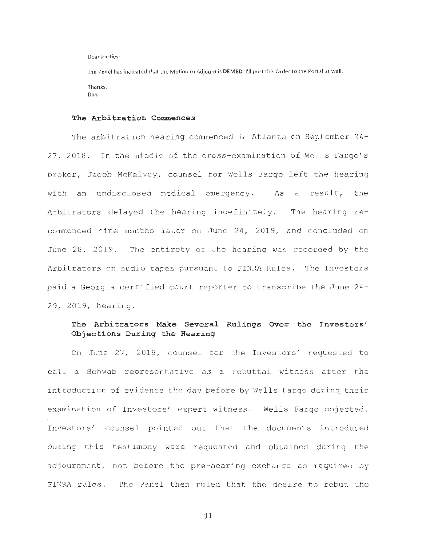Dear Parties:

The Panel has indicated that the Motion to Adjourn is **DENIED.** I'll post this Order to the Portal as well. Thanks, Dan

#### **The Arbitration Commences**

The arbitration hearing commenced in Atlanta on September 24- 27, 2018. In the middle of the cross-examination of Wells Fargo's broker, Jacob McKelvey, counsel for Wells Fargo left the hearing with an undisclosed medical emergency. As a result, the Arbitrators delayed the hearing indefinitely. The hearing recommenced nine months later on June 24, 2019, and concluded on June 28, 2019. The entirety of the hearing was recorded by the Arbitrators on audio tapes pursuant to FINRA Rules. The Investors paid a Georgia certified court reporter to transcribe the June 24-29, 2019, hearing.

# **The Arbitrators Make Several Rulings Over the Investors' Objections During the Hearing**

On June 27, 2019, counsel for the Investors' requested to call a Schwab representative as a rebuttal witness after the introduction of evidence the day before by Wells Fargo during their examination of Investors' expert witness. Wells Fargo objected. Investors' counsel pointed out that the documents introduced during this testimony were requested and obtained during the adjournment, not before the pre-hearing exchange as required by FINRA rules. The Panel then ruled that the desire to rebut the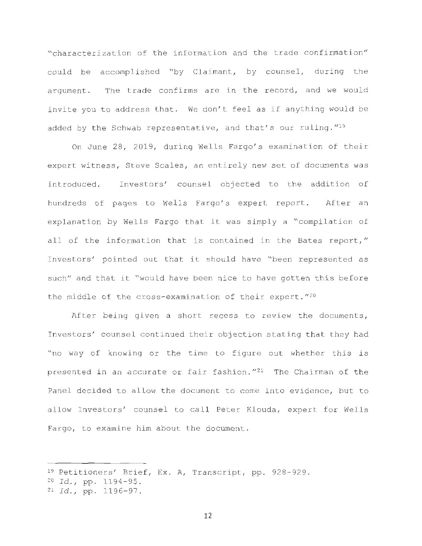"characterization of the information and the trade confirmation" could be accomplished "by Claimant, by counsel, during the argument. The trade confirms are in the record, and we would invite you to address that. We don't feel as if anything would be added by the Schwab representative, and that's our ruling.  $''^{19}$ 

On June 28, 2019, during Wells Fargo's examination of their expert witness, Steve Scales, an entirely new set of documents was introduced. Investors' counsel objected to the addition of hundreds of pages to Wells Fargo's expert report. After an explanation by Wells Fargo that it was simply a "compilation of all of the information that is contained in the Bates report," Investors' pointed out that it should have " been represented as such" and that it "would have been nice to have gotten this before the middle of the cross-examination of their expert.  $''^{20}$ 

After being given a short recess to review the documents, Investors' counsel continued their objection stating that they had "no way of knowing or the time to figure out whether this is presented in an accurate or fair fashion. $121$  The Chairman of the Panel decided to allow the document to come into evidence, but to allow Investors' counsel to call Peter Klouda, expert for Wells Fargo, to examine him about the document.

<sup>&</sup>lt;sup>19</sup> Petitioners' Brief, Ex. A, Transcript, pp. 928-929.

<sup>20</sup>*Id . ,* pp . 1194-95 .

<sup>21</sup>*Id . ,* pp . 1196-97.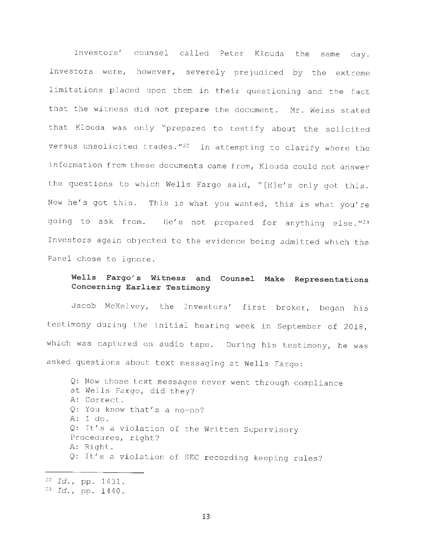Investors' counsel called Peter Klouda the same day. Investors were, however, severely prejudiced by the extreme limitations placed upon them in their questioning and the fact that the witness did not prepare the document. Mr. Weiss stated that Klouda was only "prepared to testify about the solicited versus unsolicited trades."<sup>22</sup> In attempting to clarify where the information from these documents came from, Klouda could not answer the questions to which Wells Fargo said, "[H]e's only got this. Now he's got this. This is what you wanted, this is what you're going to ask from. He's not prepared for anything else."<sup>23</sup> Investors again objected to the evidence being admitted which the Panel chose to ignore.

# **Wells Fargo's Witness and Counsel Make Representations Concerning Earlier Testimony**

Jacob McKelvey, the Investors' first broker, began his testimony during the initial hearing week in September of 2018, which was captured on audio tape. During his testimony, he was asked questions about text messaging at Wells Fargo:

Q: Now those text messages never went through compliance at Wells Fargo, did they? A: Correct. Q: You know that's a no-no?  $A: I do.$ Q: It's a violation of the Written Supervisory Procedures, right? A: Right. Q: It's a violation of SEC recording keeping rules?

<sup>22</sup> Id., pp. 1431. <sup>23</sup> Id., pp. 1440.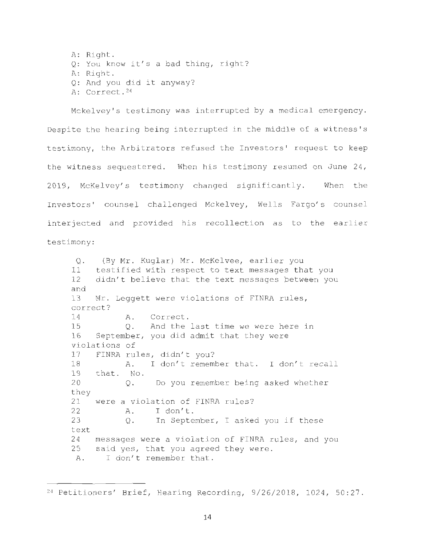A: Right. O: You know it's a bad thing, right? A: Right. Q: And you did it anyway? A: Correct.<sup>24</sup>

Mckelvey's testimony was interrupted by a medical emergency. Despite the hearing being interrupted in the middle of a witness's testimony, the Arbitrators refused the Investors' request to keep the witness sequestered. When his testimony resumed on June 24, 2019, McKelvey's testimony changed significantly. When the Investors' counsel challenged Mckelvey, Wells Fargo's counsel interjected and provided his recollection as to the earlier testimony :

Q. (By Mr. Kuglar) Mr. McKelvee, earlier you 11 testified with respect to text messages that you 12 didn't believe that the text messages between you and 13 Mr. Leggett were violations of FINRA rules, correct? 14 15 A.  $O<sub>z</sub>$ 16 September, you did admit that they were violations of Correct . And the last time we were here in 17 FINRA rules, didn't you? 18 A. I don't remember that. I don't recall 19 20 they that. No. Q. Do you remember being asked whether 21 were a violation of FINRA rules? 22 A. I don't. 23 Q. In September, I asked you if these text 24 25 A. messages were a violation of FINRA rules, and you said yes, that you agreed they were. I don't remember that.

<sup>&</sup>lt;sup>24</sup> Petitioners' Brief, Hearing Recording, 9/26/2018, 1024, 50:27.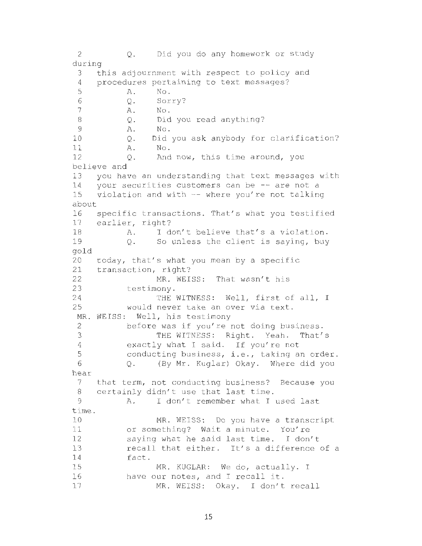2 Q. Did you do any homework or study during 3 this adjournment with respect to policy and 4 procedures pertaining to text messages?<br>5 A. No. A. No. 6 Q. Sorry?<br>7 A. No. A. No. 8 Q. Did you read anything? 9 A. No . 10 Q. Did you ask anybody for clarification? 11 A. No. 12 0. And now, this time around, you believe and 13 you have an understanding that text messages with 14 your securities customers can be  $-$  are not a<br>15 violation and with  $-$  where you're not talking violation and with  $-$ - where you're not talking about 16 17 18 19 gold 20 21 22 23 24 25 MR. WEISS: Well, his testimony 2 3 4 5 6 hear 7 8 9 time . 10 11 12 13 14 15 16 17 specific transactions. That's what you testified earlier, right? A. I don't believe that's a violation. Q. So unless the client is saying, buy today, that's what you mean by a specific transaction, right? MR. WEISS: That wasn't his testimony . THE WITNESS: Well, first of all, I would never take an over via text . before was if you're not doing business. THE WITNESS: Right. Yeah. That's exactly what I said. If you're not conducting business, i.e., taking an order. Q. (By Mr. Kuglar) Okay. Where did you that term, not conducting business? Because you certainly didn't use that last time. A. I don't remember what I used last MR. WEISS: Do you have a transcript or something? Wait a minute. You're saying what he said last time. I don't recall that either. It's a difference of a fact . MR. KUGLAR: We do, actually. I have our notes, and I recall it. MR. WEISS: Okay. I don't recall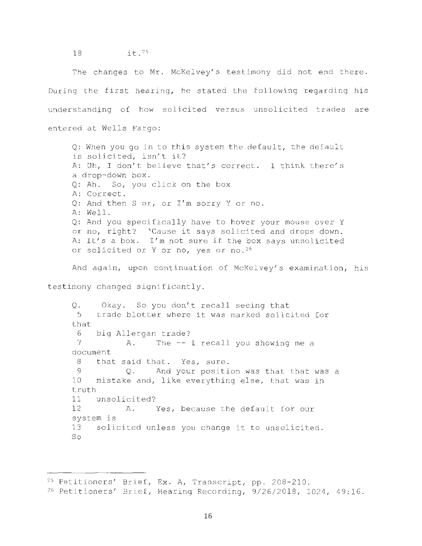18 it . <sup>25</sup>

The changes to Mr. McKelvey's testimony did not end there. During the first hearing, he stated the following regarding his understanding of how solicited versus unsolicited trades are entered at Wells Fargo:

Q: When you go in to this system the default, the default is solicited, isn't it? A: Uh, I don't believe that's correct. I think there's a drop-down box . Q: Ah. So, you click on the box A: Correct . Q: And then S or, or I'm sorry Y or no. A: Well. Q: And you specifically have to hover your mouse over Y or no, right? 'Cause it says solicited and drops down. A: It's a box. I'm not sure if the box says unsolicited or solicited or Y or no, yes or no. 26

And again, upon continuation of McKelvey's examination, his

testimony changed significantly .

Q. 5 that 6 7 Okay. So you don't recall seeing that trade blotter where it was marked solicited for big Allergan trade? A. The -- I recall you showing me a document 8 that said that. Yes, sure. <sup>9</sup>Q. And your position was that that was a 10 mistake and, like everything else, that was in truth 11 unsolicited? 12 A. Yes, because the default for our system is 13 solicited unless you change it to unsolicited. So

<sup>&</sup>lt;sup>25</sup> Petitioners' Brief, Ex. A, Transcript, pp. 208-210.<br><sup>26</sup> Petitioners' Brief, Hearing Recording, 9/26/2018, 1024, 49:16.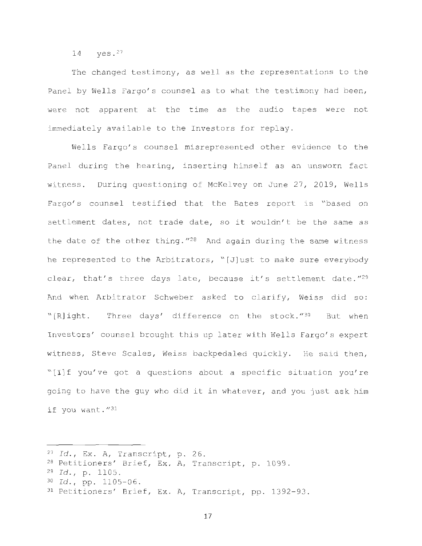14 yes . <sup>27</sup>

The changed testimony, as well as the representations to the Panel by Wells Fargo's counsel as to what the testimony had been, were not apparent at the time as the audio tapes were not immediately available to the Investors for replay.

Wells Fargo's counsel misrepresented other evidence to the Panel during the hearing, inserting himself as an unsworn fact witness. During questioning of McKelvey on June 27, 2019, Wells Fargo's counsel testified that the Bates report is "based on settlement dates, not trade date, so it wouldn't be the same as the date of the other thing.  $128$  And again during the same witness he represented to the Arbitrators, "[J]ust to make sure everybody clear, that's three days late, because it's settlement date." $^{29}$ And when Arbitrator Schweber asked to clarify, Weiss did so:  $``[R]$ ight. Three days' difference on the stock." $^{30}$  But when Investors' counsel brought this up later with Wells Fargo's expert witness, Steve Scales, Weiss backpedaled quickly. He said then, "[I]f you've got a questions about a specific situation you're going to have the guy who did it in whatever, and you just ask him if you want."31

<sup>&</sup>lt;sup>27</sup> Id., Ex. A, Transcript, p. 26.

<sup>&</sup>lt;sup>28</sup> Petitioners' Brief, Ex. A, Transcript, p. 1099.

<sup>29</sup>*Id . ,* p . 1105 .

<sup>&</sup>lt;sup>30</sup> *Id.*, pp. 1105-06.<br><sup>31</sup> Petitioners' Brief, Ex. A, Transcript, pp. 1392-93.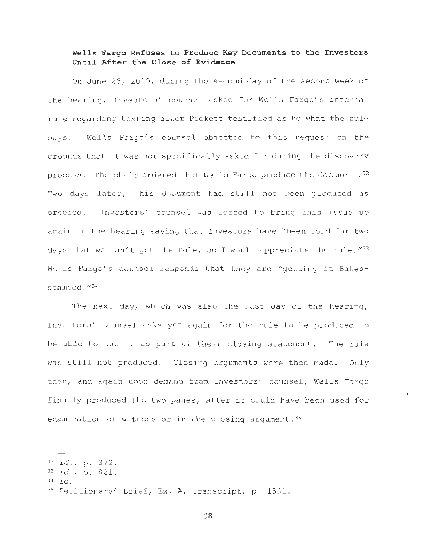### **Wells Fargo Refuses to Produce Key Documents to the Investors Until After the Close of Evidence**

On June 25, 2019, during the second day of the second week of the hearing, Investors' counsel asked for Wells Fargo's internal rule regarding texting after Pickett testified as to what the rule says. Wells Fargo's counsel objected to this request on the grounds that it was not specifically asked for during the discovery process. The chair ordered that Wells Fargo produce the document. 32 Two days later, this document had still not been produced as ordered. Investors' counsel was forced to bring this issue up again in the hearing saying that Investors have "been told for two days that we can't get the rule, so I would appreciate the rule.  $''^{33}$ Wells Fargo's counsel responds that they are "getting it Batesstamped."<sup>34</sup>

The next day, which was also the last day of the hearing, Investors' counsel asks yet again for the rule to be produced to be able to use it as part of their closing statement. The rule was still not produced. Closing arguments were then made. Only then, and again upon demand from Investors' counsel, Wells Fargo finally produced the two pages, after it could have been used for examination of witness or in the closing argument.<sup>35</sup>

<sup>32</sup>*Id .* I <sup>p</sup> . 372 . 33 *Id .* I <sup>p</sup> . 821.

<sup>34</sup>*Id .* 

<sup>35</sup> Petitioners' Brief, Ex. A, Transcript, p. 1531.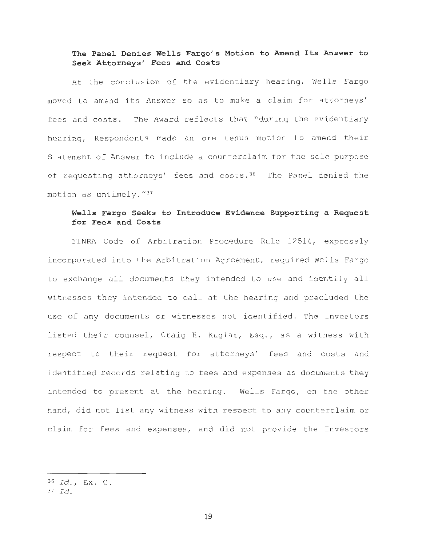### **The Panel Denies Wells Fargo' s Motion to Amend Its Answer to Seek Attorneys' Fees and Costs**

At the conclusion of the evidentiary hearing, Wells Fargo moved to amend its Answer so as to make a claim for attorneys' fees and costs. The Award reflects that "during the evidentiary hearing, Respondents made an ore tenus motion to amend their Statement of Answer to include a counterclaim for the sole purpose of requesting attorneys' fees and costs.<sup>36</sup> The Panel denied the motion as untimely.  $''^{37}$ 

### **Wells Fargo Seeks to Introduce Evidence Supporting a Request for Fees and Costs**

FINRA Code of Arbitration Procedure Rule 12514, expressly incorporated into the Arbitration Agreement, required Wells Fargo to exchange all documents they intended to use and identify all witnesses they intended to call at the hearing and precluded the use of any documents or witnesses not identified. The Investors listed their counsel, Craig H. Kuglar, Esq., as a witness with respect to their request for attorneys' fees and costs and identified records relating to fees and expenses as documents they intended to present at the hearing. Wells Fargo, on the other hand, did not list any witness with respect to any counterclaim or claim for fees and expenses, and did not provide the Investors

<sup>36</sup>*Id . ,* Ex . C.

 $37$   $Id.$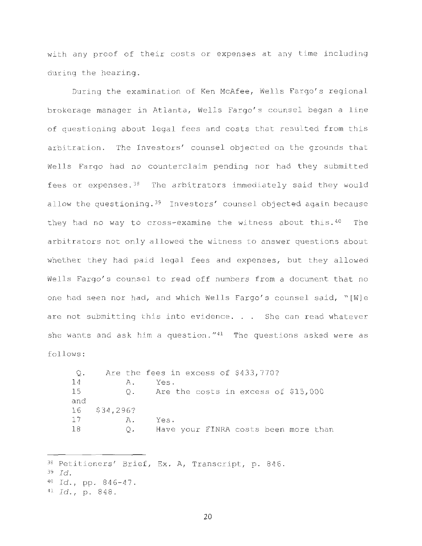with any proof of their costs or expenses at any time including during the hearing.

During the examination of Ken McAfee, Wells Fargo's regional brokerage manager in Atlanta, Wells Fargo's counsel began a line of questioning about legal fees and costs that resulted from this arbitration. The Investors' counsel objected on the grounds that Wells Fargo had no counterclaim pending nor had they submitted fees or expenses. 38 The arbitrators immediately said they would allow the questioning.<sup>39</sup> Investors' counsel objected again because they had no way to cross-examine the witness about this.<sup>40</sup> The arbitrators not only allowed the witness to answer questions about whether they had paid legal fees and expenses, but they allowed Wells Fargo's counsel to read off numbers from a document that no one had seen nor had, and which Wells Fargo's counsel said, "[W]e are not submitting this into evidence. . . She can read whatever she wants and ask him a question." $41$  The questions asked were as follows :

Q. Are the fees in excess of \$433,770? 14 A. Yes. 15 Q. Are the costs in excess of \$15,000 and 16 17 18 \$34 , 296? A. Q. Yes . Have your FINRA costs been more than

38 Petitioners' Brief, Ex. A, Transcript, p. 846. <sup>39</sup>*Id .*  40 Id., pp. 846-47. <sup>41</sup> *Id.*, p. 848.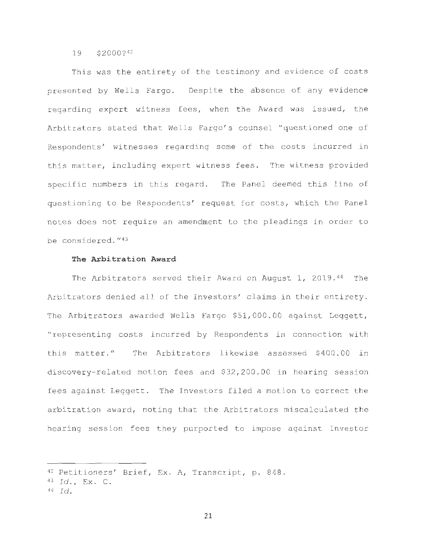#### 19 \$2000? <sup>42</sup>

This was the entirety of the testimony and evidence of costs presented by Wells Fargo. Despite the absence of any evidence regarding expert witness fees, when the Award was issued, the Arbitrators stated that Wells Fargo's counsel "questioned one of Respondents' witnesses regarding some of the costs incurred in this matter, including expert witness fees. The witness provided specific numbers in this regard. The Panel deemed this line of questioning to be Respondents' request for costs, which the Panel notes does not require an amendment to the pleadings in order to be considered."<sup>43</sup>

#### **The Arbitration Award**

The Arbitrators served their Award on August 1, 2019.44 The Arbitrators denied all of the Investors' claims in their entirety . The Arbitrators awarded Wells Fargo \$51,000.00 against Leggett, " representing costs incurred by Respondents in connection with this matter." The Arbitrators likewise assessed \$400.00 in discovery-related motion fees and \$32 , 200.00 in hearing session fees against Leggett. The Investors filed a motion to correct the arbitration award, noting that the Arbitrators miscalculated the hearing session fees they purported to impose against Investor

<sup>42</sup> Petitioners' Brief, Ex. A, Transcript, p. 848.

<sup>43</sup>*Id .,* Ex. C.

<sup>44</sup>*Id .*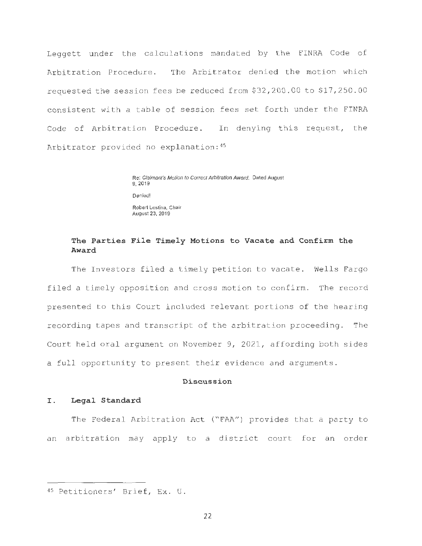Leggett under the calculations mandated by the FINRA Code of Arbitration Procedure. The Arbitrator denied the motion which requested the session fees be reduced from \$32 , 200 . 00 to \$17,250 . 00 consistent with a table of session fees set forth under the FINRA Code of Arbitration Procedure. In denying this request, the Arbitrator provided no explanation: 45

> Re: Claimant's Motion to Correct Arbitration Award. Dated August 9, 2019 Denied! Robert Lestina. Chair August 23, 2019

### **The Parties File Timely Motions to Vacate and Confirm the Award**

The Investors filed a timely petition to vacate. Wells Fargo filed a timely opposition and cross motion to confirm. The record presented to this Court included relevant portions of the hearing recording tapes and transcript of the arbitration proceeding. The Court held oral argument on November 9, 2021, affording both sides a full opportunity to present their evidence and arguments .

#### **Discussion**

### **I. Legal Standard**

The Federal Arbitration Act ("FAA") provides that a party to an arbitration may apply to a district court for an order

<sup>45</sup> Petitioners' Brief, Ex. U.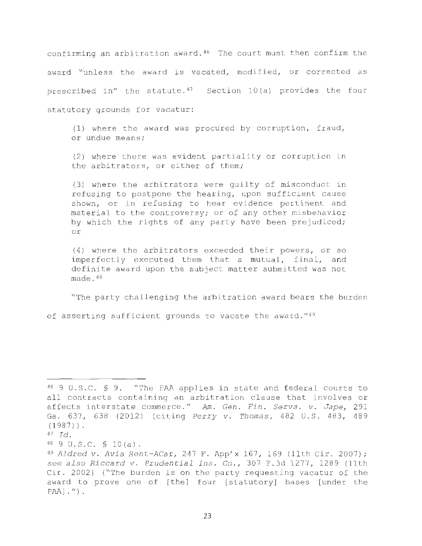confirming an arbitration award.<sup>46</sup> The court must then confirm the award "unless the award is vacated, modified, or corrected as prescribed in" the statute. $47$  Section 10 (a) provides the four statutory grounds for vacatur:

 $(1)$  where the award was procured by corruption, fraud, or undue means;

(2) where there was evident partiality or corruption in the arbitrators, or either of them;

(3) where the arbitrators were guilty of misconduct in refusing to postpone the hearing, upon sufficient cause shown, or in refusing to hear evidence pertinent and material to the controversy; or of any other misbehavior by which the rights of any party have been prejudiced; or

(4) where the arbitrators exceeded their powers, or so imperfectly executed them that a mutual, final, and definite award upon the subject matter submitted was not made . <sup>48</sup>

"The party challenging the arbitration award bears the burden

of asserting sufficient grounds to vacate the award.  $149$ 

<sup>46 9</sup> U.S.C. § 9. "The FAA applies in state and federal courts to all contracts containing an arbitration clause that involves or affects interstate commerce . " *Am. Gen. Fin . Servs . v. Jape ,* 291 Ga. 637, 638 (2012) (citing *Perry v. Thomas,* 482 U.S. 483, 489  $(1987)$ ).

 $^{47}$  *Id*.

<sup>40 9</sup> U.S.C. \$ 10(a).<br><sup>49</sup> Aldred v. Avis Rent-ACar, 247 F. App'x 167, 169 (11th Cir. 2007); *see also Riccard v. Prudential Ins .* Co ., 307 F . 3d 1277 , 1289 (11th Cir. 2002) ("The burden is on the party requesting vacatur of the award to prove one of [the] four [statutory] bases [under the  $FAA$ ].").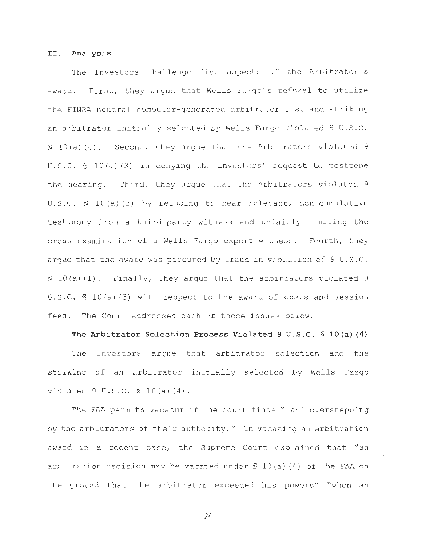#### II. **Analysis**

The Investors challenge five aspects of the Arbitrator's award. First, they argue that Wells Fargo's refusal to utilize the FINRA neutral computer-generated arbitrator list and striking an arbitrator initially selected by Wells Fargo violated 9 U.S.C. § 10(a)(4). Second, they argue that the Arbitrators violated 9 U.S.C. § 10(a)(3) in denying the Investors' request to postpone the hearing. Third, they argue that the Arbitrators violated 9 U.S.C. § 10(a)(3) by refusing to hear relevant, non-cumulative testimony from a third-party witness and unfairly limiting the cross examination of a Wells Fargo expert witness. Fourth, they argue that the award was procured by fraud in violation of 9 U.S.C.  $$10(a)(1)$ . Finally, they arque that the arbitrators violated 9 U.S.C. § 10(a)(3) with respect to the award of costs and session fees. The Court addresses each of these issues below.

### **The Arbitrator Selection Process Violated 9 U. S . C. § lO(a) (4)**

The Investors argue that arbitrator selection and the striking of an arbitrator initially selected by Wells Fargo violated  $9 \text{ U.S.C. } $ 10(a)(4)$ .

The FAA permits vacatur if the court finds "[an] overstepping by the arbitrators of their authority." In vacating an arbitration award in a recent case, the Supreme Court explained that "an arbitration decision may be vacated under§ lO(a) (4) of the FAA on the ground that the arbitrator exceeded his powers" "when an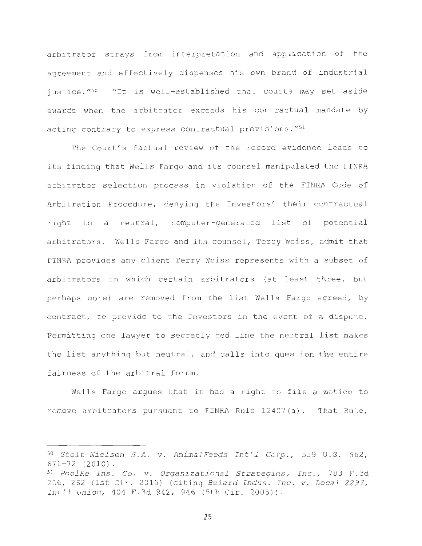arbitrator strays from interpretation and application of the agreement and effectively dispenses his own brand of industrial justice."<sup>50</sup> "It is well-established that courts may set aside awards when the arbitrator exceeds his contractual mandate by acting contrary to express contractual provisions."<sup>51</sup>

The Court's factual review of the record evidence leads to its finding that Wells Fargo and its counsel manipulated the FINRA arbitrator selection process in violation of the FINRA Code of Arbitration Procedure, denying the Investors' their contractual right to a neutral, computer-generated list of potential arbitrators. Wells Fargo and its counsel, Terry Weiss, admit that FINRA provides any client Terry Weiss represents with a subset of arbitrators in which certain arbitrators (at least three, but perhaps more) are removed from the list Wells Fargo agreed, by contract, to provide to the Investors in the event of a dispute. Permitting one lawyer to secretly red line the neutral list makes the list anything but neutral, and calls into question the entire fairness of the arbitral forum .

Wells Fargo argues that it had a right to file a motion to remove arbitrators pursuant to FINRA Rule  $12407(a)$ . That Rule,

<sup>50</sup>*Stolt - Nielsen S . <sup>A</sup> . v . AnimalFeeds Int ' 1 Cor <sup>p</sup> .,* 559 U. <sup>S</sup> . 662 ,

<sup>671</sup> - 72 (20 <sup>1</sup> 0) . 51 *Pool Re Ins .* Co . *<sup>v</sup> . Organizational Strategies, Inc .,* 783 F . 3d <sup>256</sup> , 262 (1st Cir . 2 015) (citing *Beiard Indus . Inc . v . Local 2297, Int' 1 Union ,* 404 F . 3d 942 , 946 (5th Cir. 2005)) .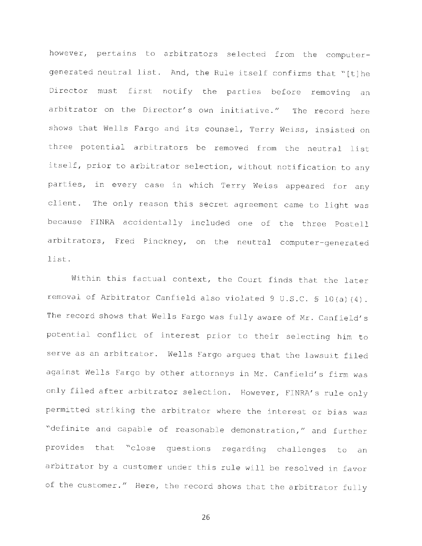however, pertains to arbitrators selected from the computergenerated neutral list. And, the Rule itself confirms that "[t]he Director must first notify the parties before removing an arbitrator on the Director's own initiative." The record here shows that Wells Fargo and its counsel, Terry Weiss, insisted on three potential arbitrators be removed from the neutral list itself, prior to arbitrator selection, without notification to any parties, in every case in which Terry Weiss appeared for any client. The only reason this secret agreement came to light was because FINRA accidentally included one of the three Postell arbitrators, Fred Pinckney, on the neutral computer-generated list.

Within this factual context, the Court finds that the later removal of Arbitrator Canfield also violated 9 U.S.C. § 10(a)(4). The record shows that Wells Fargo was fully aware of Mr. Canfield's potential conflict of interest prior to their selecting him to serve as an arbitrator. Wells Fargo argues that the lawsuit filed against Wells Fargo by other attorneys in Mr. Canfield's firm was only filed after arbitrator selection. However, FINRA's rule only permitted striking the arbitrator where the interest or bias was "definite and capable of reasonable demonstration," and further provides that "close questions regarding challenges to an arbitrator by a customer under this rule will be resolved in favor of the customer." Here, the record shows that the arbitrator fully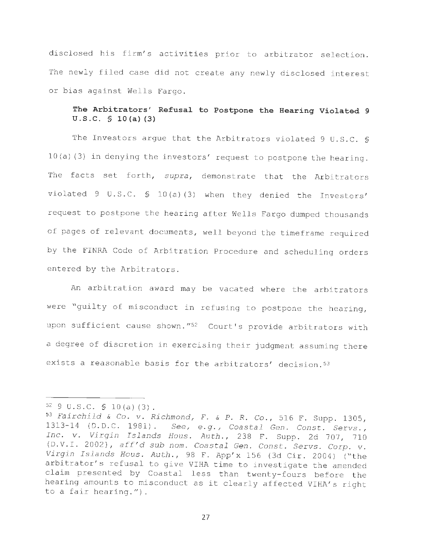disclosed his firm's activities prior to arbitrator selection. The newly filed case did not create any newly disclosed interest or bias against Wells Fargo.

# **The Arbitrators' Refusal to Postpone the Hearing Violated 9 U.S.C. § lO(a} (3)**

The Investors argue that the Arbitrators violated 9 U.S.C. §  $10(a)$  (3) in denying the investors' request to postpone the hearing. The facts set forth, *supra*, demonstrate that the Arbitrators violated 9 U.S.C.  $\frac{10}{a}(a)(3)$  when they denied the Investors' request to postpone the hearing after Wells Fargo dumped thousands of pages of relevant documents, well beyond the timeframe required by the FINRA Code of Arbitration Procedure and scheduling orders entered by the Arbitrators.

An arbitration award may be vacated where the arbitrators were "guilty of misconduct in refusing to postpone the hearing, upon sufficient cause shown."<sup>52</sup> Court's provide arbitrators with a degree of discretion in exercising their judgment assuming there exists a reasonable basis for the arbitrators' decision. 53

<sup>52 9</sup> U. S . C. § <sup>1</sup> 0 (a) ( 3) . 53 *Fa irchild* & Co . *<sup>v</sup> . Richmondr F .* & *P. R .* Co ., 516 F . Supp . 1305 , 1313-14 (D.D.C. 1981). See, e.g., Coastal Gen. Const. Servs., *Inc. v. Virgin Islands Hous. Auth.*, 238 F. Supp. 2d 707, 710 (O . V.I. 2002) , *aff' d sub nom . Coastal Gen . Const . Servs . Corp . v . Virgin Islands Haus . Auth . ,* 98 F . App ' x 156 (3d Cir. 2004) ("the arbitrator's refusal to give VIHA time to investigate the amended claim presented by Coastal less than twenty-fours before the hearing amounts to misconduct as it clearly affected VIHA's right to a fair hearing.").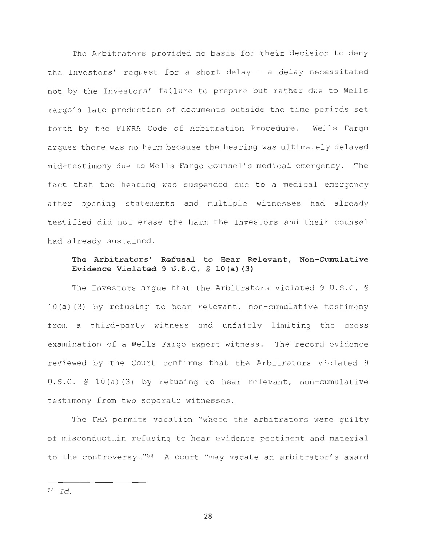The Arbitrators provided no basis for their decision to deny the Investors' request for a short delay  $-$  a delay necessitated not by the Investors' failure to prepare but rather due to Wells Fargo's late production of documents outside the time periods set forth by the FINRA Code of Arbitration Procedure. Wells Fargo argues there was no harm because the hearing was ultimately delayed mid-testimony due to Wells Fargo counsel' s medical emergency. The fact that the hearing was suspended due to a medical emergency after opening statements and multiple witnesses had already testified did not erase the harm the Investors and their counsel had already sustained .

### **The Arbitrators' Refusal to Hear Relevant, Non-Cumulative Evidence Violated 9 U . S . C . § lO(a) (3)**

The Investors argue that the Arbitrators violated 9 U.S.C. §  $10 (a) (3)$  by refusing to hear relevant, non-cumulative testimony from a third-party witness and unfairly limiting the cross examination of a Wells Fargo expert witness. The record evidence reviewed by the Court confirms that the Arbitrators violated 9 U.S.C.  $\lesssim$  10(a)(3) by refusing to hear relevant, non-cumulative testimony from two separate witnesses .

The FAA permits vacation "where the arbitrators were guilty of misconduct... in refusing to hear evidence pertinent and material to the controversy..."<sup>54</sup> A court "may vacate an arbitrator's award

<sup>54</sup>*Id .*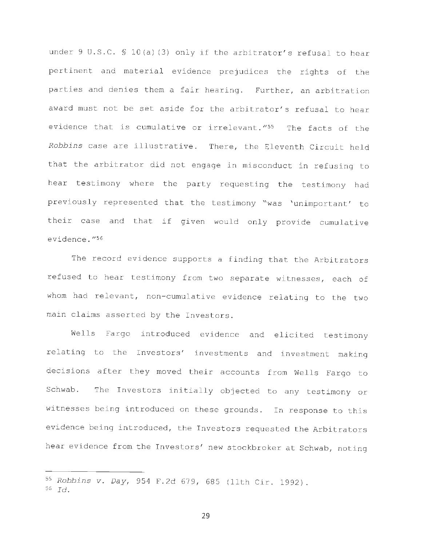under 9 U.S.C. § 10(a)(3) only if the arbitrator's refusal to hear pertinent and material evidence prejudices the rights of the parties and denies them a fair hearing. Further, an arbitration award must not be set aside for the arbitrator's refusal to hear evidence that is cumulative or irrelevant."<sup>55</sup> The facts of the *Robbins* case are illustrative. There, the Eleventh Circuit held that the arbitrator did not engage in misconduct in refusing to hear testimony where the party requesting the testimony had previously represented that the testimony "was 'unimportant' to their case and that if given would only provide cumulative evidence."<sup>56</sup>

The record evidence supports a finding that the Arbitrators refused to hear testimony from two separate witnesses, each of whom had relevant, non-cumulative evidence relating to the two main claims asserted by the Investors.

Wells Fargo introduced evidence and elicited testimony relating to the Investors' investments and investment making decisions after they moved their accounts from Wells Fargo to Schwab. The Investors initially objected to any testimony or witnesses being introduced on these grounds. In response to this evidence being introduced, the Investors requested the Arbitrators hear evidence from the Investors' new stockbroker at Schwab, noting

<sup>55</sup> Robbins v. Day, 954 F.2d 679, 685 (11th Cir. 1992). <sup>56</sup>*Id .*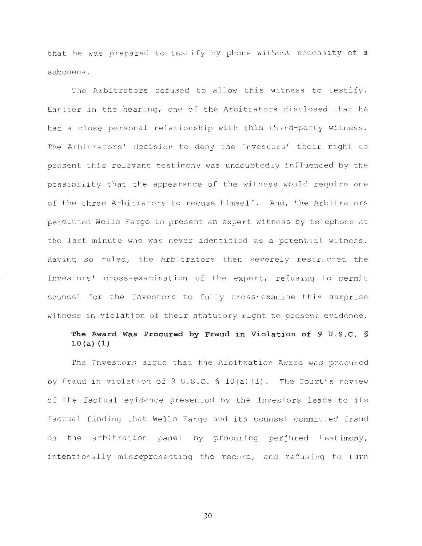that he was prepared to testify by phone without necessity of a subpoena .

The Arbitrators refused to allow this witness to testify. Earlier in the hearing, one of the Arbitrators disclosed that he had a close personal relationship with this third-party witness . The Arbitrators' decision to deny the Investors' their right to present this relevant testimony was undoubtedly influenced by the possibility that the appearance of the witness would require one of the three Arbitrators to recuse himself. And, the Arbitrators permitted Wells Fargo to present an expert witness by telephone at the last minute who was never identified as a potential witness . Having so ruled, the Arbitrators then severely restricted the Investors' cross-examination of the expert, refusing to permit counsel for the Investors to fully cross-examine this surprise witness in violation of their statutory right to present evidence.

# **The Award Was Procured by Fraud in Violation of 9 U . S.C.** § **10 {a) (1)**

The Investors argue that the Arbitration Award was procured by fraud in violation of  $9 \text{ U.S.C. } $ 10(a)(1)$ . The Court's review of the factual evidence presented by the Investors leads to its factual finding that Wells Fargo and its counsel committed fraud on the arbitration panel by procuring perjured testimony, intentionally misrepresenting the record, and refusing to turn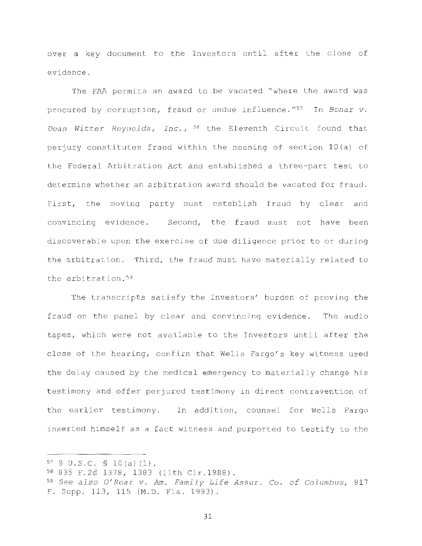over a key document to the Investors until after the close of evidence .

The FAA permits an award to be vacated "where the award was procured by corruption, fraud or undue influence."<sup>57</sup> In *Bonar v*. *Dean Witter Reynolds, Inc.,* <sup>58</sup> the Eleventh Circuit found that perjury constitutes fraud within the meaning of section l0(a) of the Federal Arbitration Act and established a three- part test to determine whether an arbitration award should be vacated for fraud. First, the moving party must establish fraud by clear and convincing evidence. Second, the fraud must not have been discoverable upon the exercise of due diligence prior to or during the arbitration. Third, the fraud must have materially related to the arbitration.<sup>59</sup>

The transcripts satisfy the Investors' burden of proving the fraud on the panel by clear and convincing evidence. The audio tapes, which were not available to the Investors until after the close of the hearing, confirm that Wells Fargo's key witness used the delay caused by the medical emergency to materially change his testimony and offer perjured testimony in direct contravention of the earlier testimony. In addition, counsel for Wells Fargo inserted himself as a fact witness and purported to testify to the

 $57$  9 U.S.C.  $\text{S}$  10(a)(1).

<sup>58 835</sup> F.2d 1378, 1383 (11th Cir.1988).

<sup>59</sup>*See also O' Rear v . Am . Family Life Assur.* Co . *of Columbus,* <sup>817</sup> F. Supp. 113, 115 (M.D. Fla. 1993).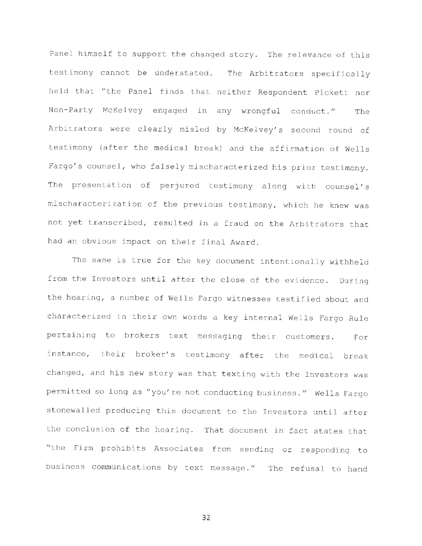Panel himself to support the changed story. The relevance of this testimony cannot be understated. The Arbitrators specifically held that "the Panel finds that neither Respondent Pickett nor Non-Party McKelvey engaged in any wrongful conduct ." The Arbitrators were clearly misled by McKelvey's second round of testimony (after the medical break) and the affirmation of Wells Fargo's counsel, who falsely mischaracterized his prior testimony. The presentation of perjured testimony along with counsel's mischaracterization of the previous testimony, which he knew was not yet transcribed, resulted in a fraud on the Arbitrators that had an obvious impact on their final Award.

The same is true for the key document intentionally withheld from the Investors until after the close of the evidence. During the hearing, a number of Wells Fargo witnesses testified about and characterized in their own words a key internal Wells Fargo Rule pertaining to brokers text messaging their customers. For instance, their broker's testimony after the medical break changed, and his new story was that texting with the Investors was permitted so long as "you're not conducting business." Wells Fargo stonewalled producing this document to the Investors until after the conclusion of the hearing. That document in fact states that "the Firm prohibits Associates from sending or responding to business communications by text message ." The refusal to hand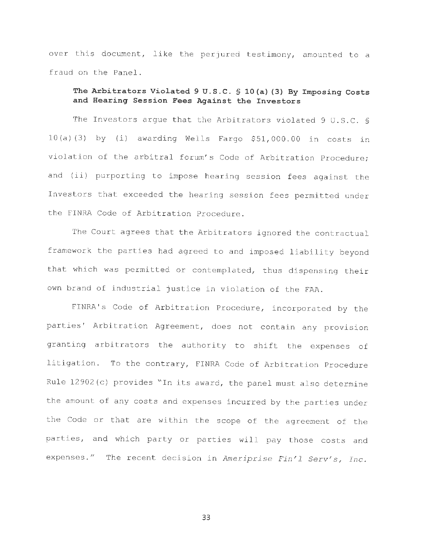over this document, like the perjured testimony, amounted to a fraud on the Panel.

### **The Arbitrators Violated 9 U.S.C. § lO(a) (3) By Imposing Costs and Hearing Session Fees Against the Investors**

The Investors argue that the Arbitrators violated 9 U.S.C. §  $10(a)$  (3) by (i) awarding Wells Fargo \$51,000.00 in costs in violation of the arbitral forum' s Code of Arbitration Procedure; and (ii) purporting to impose hearing session fees against the Investors that exceeded the hearing session fees permitted under the FINRA Code of Arbitration Procedure .

The Court agrees that the Arbitrators ignored the contractual framework the parties had agreed to and imposed liability beyond that which was permitted or contemplated, thus dispensing their own brand of industrial justice in violation of the FAA.

FINRA's Code of Arbitration Procedure, incorporated by the parties' Arbitration Agreement, does not contain any provision granting arbitrators the authority to shift the expenses of lit igation. To the contrary, FINRA Code of Arbitration Procedure Rule 12902(c) provides "In its award, the panel must also determine the amount of any costs and expenses incurred by the parties under the Code or that are within the scope of the agreement of the parties, and which party or parties will pay those costs and expenses." The recent decision in *Ameriprise Fin'l Serv's, Inc.*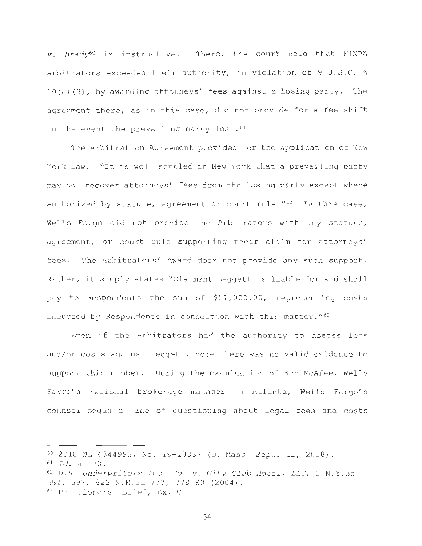v. Brady<sup>60</sup> is instructive. There, the court held that FINRA arbitrators exceeded their authority, in violation of 9 U.S.C. § 10(a) (3), by awarding attorneys' fees against a losing party. The agreement there, as in this case, did not provide for a fee shift in the event the prevailing party lost.  $61$ 

The Arbitration Agreement provided for the application of New York law. "It is well settled in New York that a prevailing party may not recover attorneys' fees from the losing party except where authorized by statute, agreement or court rule.  $162$  In this case, Wells Fargo did not provide the Arbitrators with any statute, agreement, or court rule supporting their claim for attorneys' fees. The Arbitrators' Award does not provide any such support. Rather, it simply states "Claimant Leggett is liable for and shall pay to Respondents the sum of \$51,000.00, representing costs incurred by Respondents in connection with this matter."<sup>63</sup>

Even if the Arbitrators had the authority to assess fees and/or costs against Leggett, here there was no valid evidence to support this number. During the examination of Ken McAfee, Wells Fargo's regional brokerage manager in Atlanta, Wells Fargo's counsel began a line of questioning about legal fees and costs

<sup>60 2018</sup> WL 4344993 , No . 18 - 10337 (D . Mass . Sept . 11 , 2018) . 61 *Id.* at \*8. <sup>62</sup>*U. S . Underwriters Ins .* Co . *v . City Club Hotel, LLC,* 3 N. Y. 3d 592, 597, 822 N.E.2d 777, 779-80 (2004).<br><sup>63</sup> Petitioners' Brief, Ex. C.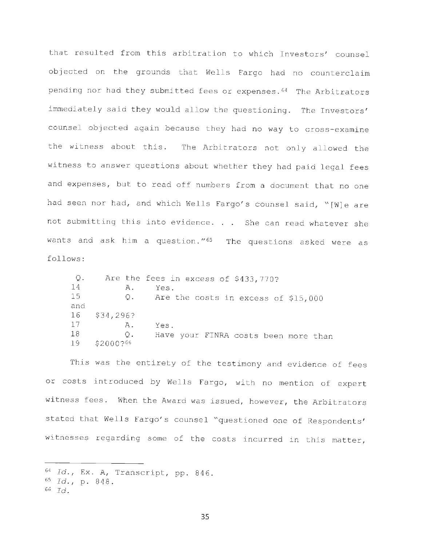that resulted from this arbitration to which Investors' counsel objected on the grounds that Wells Fargo had no counterclaim pending nor had they submitted fees or expenses.<sup>64</sup> The Arbitrators immediately said they would allow the questioning. The Investors' counsel objected again because they had no way to cross-examine the witness about this. The Arbitrators not only allowed the witness to answer questions about whether they had paid legal fees and expenses, but to read off numbers from a document that no one had seen nor had, and which Wells Fargo's counsel said, "[W]e are not submitting this into evidence. . . She can read whatever she wants and ask him a question."<sup>65</sup> The questions asked were as follows :

| Q.<br>14 | Α.           | Are the fees in excess of \$433,770?<br>Yes. |
|----------|--------------|----------------------------------------------|
|          |              |                                              |
| 15       |              | Q. Are the costs in excess of \$15,000       |
| and      |              |                                              |
|          | 16 \$34,296? |                                              |
| 17       | Α.           | Yes.                                         |
| 18       | Q.           | Have your FINRA costs been more than         |
| 19.      | \$2000?66    |                                              |

This was the entirety of the testimony and evidence of fees or costs introduced by Wells Fargo, with no mention of expert witness fees. When the Award was issued, however, the Arbitrators stated that Wells Fargo's counsel "questioned one of Respondents' witnesses regarding some of the costs incurred in this matter,

<sup>64</sup>*Id .,* Ex . A, Transcript, pp . 846.

<sup>65</sup>*Id .* , p . 8 4 8 .

<sup>66</sup>*Id .*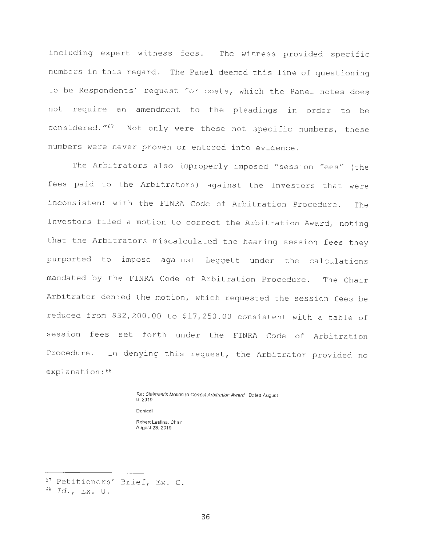including expert witness fees. The witness provided specific numbers in this regard. The Panel deemed this line of questioning to be Respondents' request for costs, which the Panel notes does not require an amendment to the pleadings in order to be considered. "<sup>67</sup> Not only were these not specific numbers, these numbers were never proven or entered into evidence .

The Arbitrators also improperly imposed "session fees" (the fees paid to the Arbitrators) against the Investors that were inconsistent with the FINRA Code of Arbitration Procedure. The Investors filed a motion to correct the Arbitration Award, noting that the Arbitrators miscalculated the hearing session fees they purported to impose against Leggett under the calculations mandated by the FINRA Code of Arbitration Procedure. The Chair Arbitrator denied the motion, which requested the session fees be reduced from \$32 , 200 . 00 to \$17 , 250 . 00 consistent with a table of session fees set forth under the FINRA Code of Arbitration Procedure. In denying this request, the Arbitrator provided no explanation:  $68$ 

> Re: Claimant's Motion to Correct Arbitration Award. Dated August 9, 2019 Denied! Robert Lestina, Chair August 23. 2019

<sup>67</sup> Petitioners' Brief, Ex. C. 68 *Id.,* Ex. U.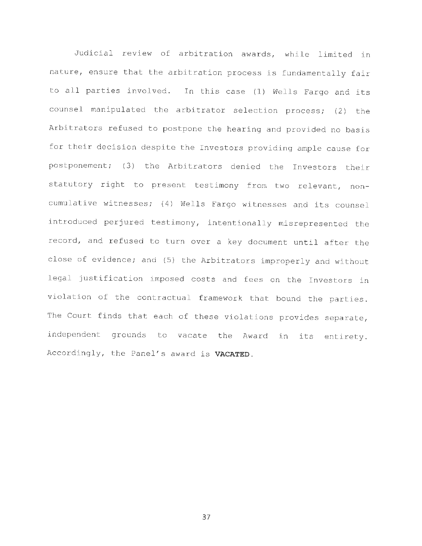Judicial review of arbitration awards, while limited in nature, ensure that the arbitration process is fundamentally fair to all parties involved. In this case (1) Wells Fargo and its counsel manipulated the arbitrator selection process; (2) the Arbitrators refused to postpone the hearing and provided no basis for their decision despite the Investors providing ample cause for postponement; (3) the Arbitrators denied the Investors their statutory right to present testimony from two relevant, noncumulative witnesses; (4) Wells Fargo witnesses and its counsel introduced perjured testimony, intentionally misrepresented the record, and refused to turn over a key document until after the close of evidence; and (5) the Arbitrators improperly and without legal justification imposed costs and fees on the Investors in violation of the contractual framework that bound the parties. The Court finds that each of these violations provides separate, independent grounds to vacate the Award in its entirety. Accordingly, the Panel's award is VACATED.